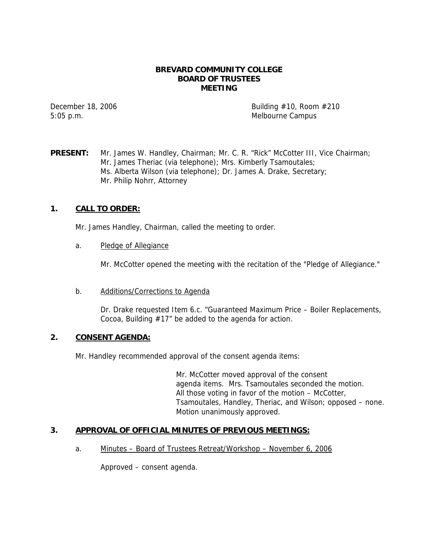### **BREVARD COMMUNITY COLLEGE BOARD OF TRUSTEES MEETING**

5:05 p.m. Melbourne Campus

December 18, 2006  $\qquad \qquad$  Building #10, Room #210

**PRESENT:** Mr. James W. Handley, Chairman; Mr. C. R. "Rick" McCotter III, Vice Chairman; Mr. James Theriac (via telephone); Mrs. Kimberly Tsamoutales; Ms. Alberta Wilson (via telephone); Dr. James A. Drake, Secretary; Mr. Philip Nohrr, Attorney

## **1. CALL TO ORDER:**

Mr. James Handley, Chairman, called the meeting to order.

a. Pledge of Allegiance

Mr. McCotter opened the meeting with the recitation of the "Pledge of Allegiance."

#### b. Additions/Corrections to Agenda

Dr. Drake requested Item 6.c. "Guaranteed Maximum Price – Boiler Replacements, Cocoa, Building #17" be added to the agenda for action.

## **2. CONSENT AGENDA:**

Mr. Handley recommended approval of the consent agenda items:

Mr. McCotter moved approval of the consent agenda items. Mrs. Tsamoutales seconded the motion. All those voting in favor of the motion – McCotter, Tsamoutales, Handley, Theriac, and Wilson; opposed – none. Motion unanimously approved.

## **3. APPROVAL OF OFFICIAL MINUTES OF PREVIOUS MEETINGS:**

a. Minutes – Board of Trustees Retreat/Workshop – November 6, 2006

Approved – consent agenda.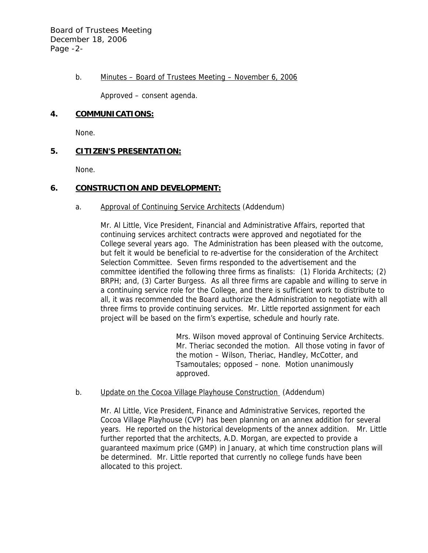b. Minutes – Board of Trustees Meeting – November 6, 2006

Approved – consent agenda.

# **4. COMMUNICATIONS:**

None.

# **5. CITIZEN'S PRESENTATION:**

None.

# **6. CONSTRUCTION AND DEVELOPMENT:**

# a. Approval of Continuing Service Architects (Addendum)

Mr. Al Little, Vice President, Financial and Administrative Affairs, reported that continuing services architect contracts were approved and negotiated for the College several years ago. The Administration has been pleased with the outcome, but felt it would be beneficial to re-advertise for the consideration of the Architect Selection Committee. Seven firms responded to the advertisement and the committee identified the following three firms as finalists: (1) Florida Architects; (2) BRPH; and, (3) Carter Burgess. As all three firms are capable and willing to serve in a continuing service role for the College, and there is sufficient work to distribute to all, it was recommended the Board authorize the Administration to negotiate with all three firms to provide continuing services. Mr. Little reported assignment for each project will be based on the firm's expertise, schedule and hourly rate.

> Mrs. Wilson moved approval of Continuing Service Architects. Mr. Theriac seconded the motion. All those voting in favor of the motion – Wilson, Theriac, Handley, McCotter, and Tsamoutales; opposed – none. Motion unanimously approved.

## b. Update on the Cocoa Village Playhouse Construction (Addendum)

Mr. Al Little, Vice President, Finance and Administrative Services, reported the Cocoa Village Playhouse (CVP) has been planning on an annex addition for several years. He reported on the historical developments of the annex addition. Mr. Little further reported that the architects, A.D. Morgan, are expected to provide a guaranteed maximum price (GMP) in January, at which time construction plans will be determined. Mr. Little reported that currently no college funds have been allocated to this project.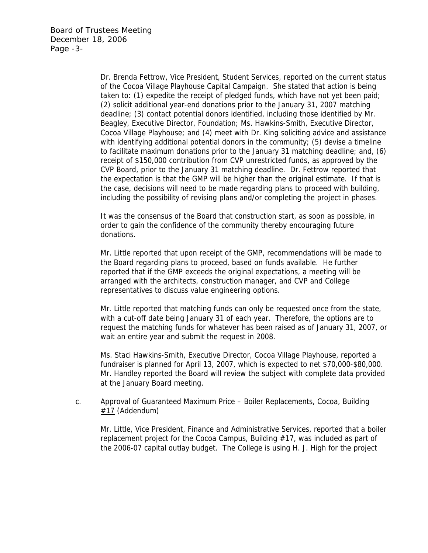Dr. Brenda Fettrow, Vice President, Student Services, reported on the current status of the Cocoa Village Playhouse Capital Campaign. She stated that action is being taken to: (1) expedite the receipt of pledged funds, which have not yet been paid; (2) solicit additional year-end donations prior to the January 31, 2007 matching deadline; (3) contact potential donors identified, including those identified by Mr. Beagley, Executive Director, Foundation; Ms. Hawkins-Smith, Executive Director, Cocoa Village Playhouse; and (4) meet with Dr. King soliciting advice and assistance with identifying additional potential donors in the community; (5) devise a timeline to facilitate maximum donations prior to the January 31 matching deadline; and, (6) receipt of \$150,000 contribution from CVP unrestricted funds, as approved by the CVP Board, prior to the January 31 matching deadline. Dr. Fettrow reported that the expectation is that the GMP will be higher than the original estimate. If that is the case, decisions will need to be made regarding plans to proceed with building, including the possibility of revising plans and/or completing the project in phases.

It was the consensus of the Board that construction start, as soon as possible, in order to gain the confidence of the community thereby encouraging future donations.

Mr. Little reported that upon receipt of the GMP, recommendations will be made to the Board regarding plans to proceed, based on funds available. He further reported that if the GMP exceeds the original expectations, a meeting will be arranged with the architects, construction manager, and CVP and College representatives to discuss value engineering options.

Mr. Little reported that matching funds can only be requested once from the state, with a cut-off date being January 31 of each year. Therefore, the options are to request the matching funds for whatever has been raised as of January 31, 2007, or wait an entire year and submit the request in 2008.

Ms. Staci Hawkins-Smith, Executive Director, Cocoa Village Playhouse, reported a fundraiser is planned for April 13, 2007, which is expected to net \$70,000-\$80,000. Mr. Handley reported the Board will review the subject with complete data provided at the January Board meeting.

#### c. Approval of Guaranteed Maximum Price – Boiler Replacements, Cocoa, Building  $#17$  (Addendum)

Mr. Little, Vice President, Finance and Administrative Services, reported that a boiler replacement project for the Cocoa Campus, Building #17, was included as part of the 2006-07 capital outlay budget. The College is using H. J. High for the project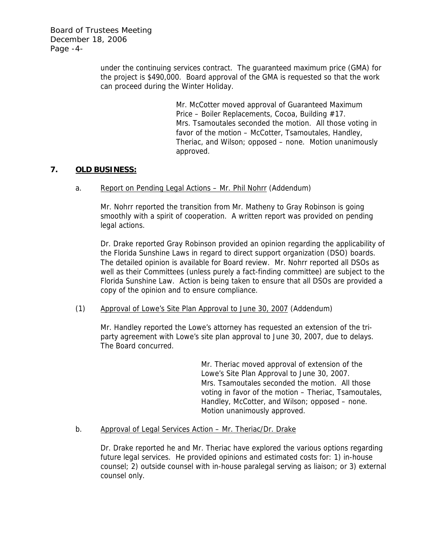Board of Trustees Meeting December 18, 2006 Page -4-

> under the continuing services contract. The guaranteed maximum price (GMA) for the project is \$490,000. Board approval of the GMA is requested so that the work can proceed during the Winter Holiday.

> > Mr. McCotter moved approval of Guaranteed Maximum Price – Boiler Replacements, Cocoa, Building #17. Mrs. Tsamoutales seconded the motion. All those voting in favor of the motion – McCotter, Tsamoutales, Handley, Theriac, and Wilson; opposed – none. Motion unanimously approved.

## **7. OLD BUSINESS:**

a. Report on Pending Legal Actions – Mr. Phil Nohrr (Addendum)

Mr. Nohrr reported the transition from Mr. Matheny to Gray Robinson is going smoothly with a spirit of cooperation. A written report was provided on pending legal actions.

Dr. Drake reported Gray Robinson provided an opinion regarding the applicability of the Florida Sunshine Laws in regard to direct support organization (DSO) boards. The detailed opinion is available for Board review. Mr. Nohrr reported all DSOs as well as their Committees (unless purely a fact-finding committee) are subject to the Florida Sunshine Law. Action is being taken to ensure that all DSOs are provided a copy of the opinion and to ensure compliance.

(1) Approval of Lowe's Site Plan Approval to June 30, 2007 (Addendum)

Mr. Handley reported the Lowe's attorney has requested an extension of the triparty agreement with Lowe's site plan approval to June 30, 2007, due to delays. The Board concurred.

> Mr. Theriac moved approval of extension of the Lowe's Site Plan Approval to June 30, 2007. Mrs. Tsamoutales seconded the motion. All those voting in favor of the motion – Theriac, Tsamoutales, Handley, McCotter, and Wilson; opposed – none. Motion unanimously approved.

#### b. Approval of Legal Services Action – Mr. Theriac/Dr. Drake

Dr. Drake reported he and Mr. Theriac have explored the various options regarding future legal services. He provided opinions and estimated costs for: 1) in-house counsel; 2) outside counsel with in-house paralegal serving as liaison; or 3) external counsel only.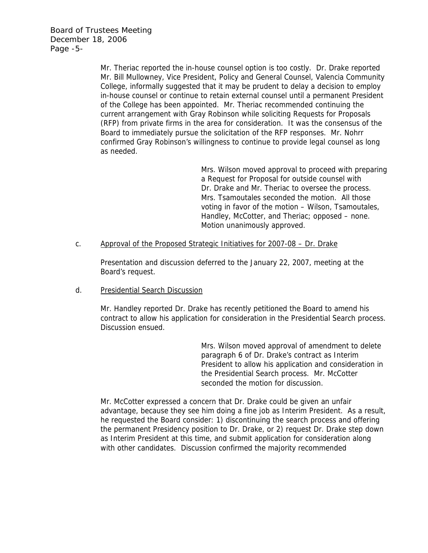Mr. Theriac reported the in-house counsel option is too costly. Dr. Drake reported Mr. Bill Mullowney, Vice President, Policy and General Counsel, Valencia Community College, informally suggested that it may be prudent to delay a decision to employ in-house counsel or continue to retain external counsel until a permanent President of the College has been appointed. Mr. Theriac recommended continuing the current arrangement with Gray Robinson while soliciting Requests for Proposals (RFP) from private firms in the area for consideration. It was the consensus of the Board to immediately pursue the solicitation of the RFP responses. Mr. Nohrr confirmed Gray Robinson's willingness to continue to provide legal counsel as long as needed.

> Mrs. Wilson moved approval to proceed with preparing a Request for Proposal for outside counsel with Dr. Drake and Mr. Theriac to oversee the process. Mrs. Tsamoutales seconded the motion. All those voting in favor of the motion – Wilson, Tsamoutales, Handley, McCotter, and Theriac; opposed – none. Motion unanimously approved.

#### c. Approval of the Proposed Strategic Initiatives for 2007-08 – Dr. Drake

 Presentation and discussion deferred to the January 22, 2007, meeting at the Board's request.

## d. Presidential Search Discussion

Mr. Handley reported Dr. Drake has recently petitioned the Board to amend his contract to allow his application for consideration in the Presidential Search process. Discussion ensued.

> Mrs. Wilson moved approval of amendment to delete paragraph 6 of Dr. Drake's contract as Interim President to allow his application and consideration in the Presidential Search process. Mr. McCotter seconded the motion for discussion.

Mr. McCotter expressed a concern that Dr. Drake could be given an unfair advantage, because they see him doing a fine job as Interim President. As a result, he requested the Board consider: 1) discontinuing the search process and offering the permanent Presidency position to Dr. Drake, or 2) request Dr. Drake step down as Interim President at this time, and submit application for consideration along with other candidates. Discussion confirmed the majority recommended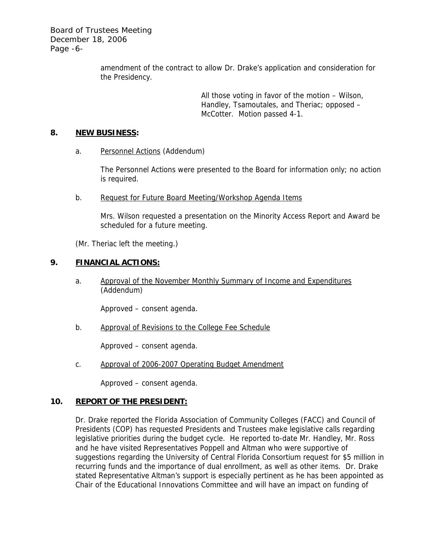Board of Trustees Meeting December 18, 2006 Page -6-

> amendment of the contract to allow Dr. Drake's application and consideration for the Presidency.

> > All those voting in favor of the motion – Wilson, Handley, Tsamoutales, and Theriac; opposed – McCotter. Motion passed 4-1.

## **8. NEW BUSINESS:**

a. Personnel Actions (Addendum)

The Personnel Actions were presented to the Board for information only; no action is required.

b. Request for Future Board Meeting/Workshop Agenda Items

Mrs. Wilson requested a presentation on the Minority Access Report and Award be scheduled for a future meeting.

(Mr. Theriac left the meeting.)

## **9. FINANCIAL ACTIONS:**

a. Approval of the November Monthly Summary of Income and Expenditures (Addendum)

Approved – consent agenda.

b. Approval of Revisions to the College Fee Schedule

Approved – consent agenda.

c. Approval of 2006-2007 Operating Budget Amendment

Approved – consent agenda.

#### **10. REPORT OF THE PRESIDENT:**

Dr. Drake reported the Florida Association of Community Colleges (FACC) and Council of Presidents (COP) has requested Presidents and Trustees make legislative calls regarding legislative priorities during the budget cycle. He reported to-date Mr. Handley, Mr. Ross and he have visited Representatives Poppell and Altman who were supportive of suggestions regarding the University of Central Florida Consortium request for \$5 million in recurring funds and the importance of dual enrollment, as well as other items. Dr. Drake stated Representative Altman's support is especially pertinent as he has been appointed as Chair of the Educational Innovations Committee and will have an impact on funding of